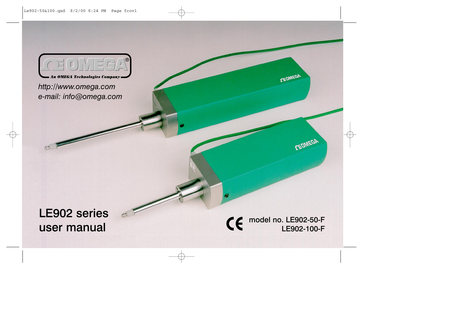

http://www.omega.com e-mail: info@omega.com

# **LE902 series** user manual

### model no. LE902-50-F CE LE902-100-F

DEOMEGA

CEOMEGA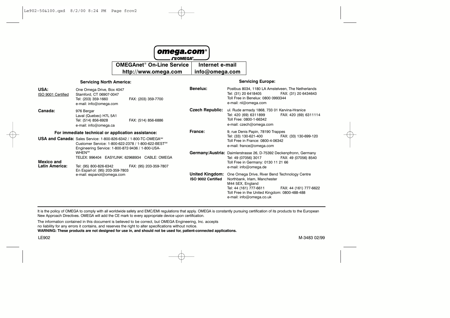

**CEOMEGA®** 

**OMEGAnet<sup>®</sup> On-Line Service** Internet e-mail

http://www.omega.com

info@omega.com

#### **Servicing North America:**

#### **Servicing Europe:**

| USA:<br>ISO 9001 Certified                                                                                                                                                                          | One Omega Drive, Box 4047<br>Stamford, CT 06907-0047<br>Tel: (203) 359-1660<br>e-mail: info@omega.com | FAX: (203) 359-7700    | Benelux:                                     | Postbus 8034, 1180 LA Amstelveen, The Netherlands<br>Tel: (31) 20 6418405<br>Toll Free in Benelux: 0800 0993344<br>e-mail: nl@omega.com              | FAX: (31) 20 6434643   |
|-----------------------------------------------------------------------------------------------------------------------------------------------------------------------------------------------------|-------------------------------------------------------------------------------------------------------|------------------------|----------------------------------------------|------------------------------------------------------------------------------------------------------------------------------------------------------|------------------------|
| Canada:                                                                                                                                                                                             | 976 Bergar<br>Laval (Quebec) H7L 5A1<br>Tel: (514) 856-6928<br>e-mail: info@omega.ca                  | FAX: (514) 856-6886    | <b>Czech Republic:</b>                       | ul. Rude armady 1868, 733 01 Karvina-Hranice<br>Tel: 420 (69) 6311899<br>Toll Free: 0800-1-66342<br>e-mail: czech@omega.com                          | FAX: 420 (69) 6311114  |
| For immediate technical or application assistance:                                                                                                                                                  |                                                                                                       |                        | France:                                      | 9, rue Denis Papin, 78190 Trappes<br>Tel: (33) 130-621-400<br>FAX: (33) 130-699-120<br>Toll Free in France: 0800-4-06342<br>e-mail: france@omega.com |                        |
| USA and Canada: Sales Service: 1-800-826-6342 / 1-800-TC-OMEGA <sup>SM</sup><br>Customer Service: 1-800-622-2378 / 1-800-622-BEST <sup>5M</sup><br>Engineering Service: 1-800-872-9436 / 1-800-USA- |                                                                                                       |                        |                                              |                                                                                                                                                      |                        |
| <b>Mexico and</b>                                                                                                                                                                                   | <b>WHEN</b> SM<br>TELEX: 996404 EASYLINK: 62968934 CABLE: OMEGA                                       |                        |                                              | Germany/Austria: Daimlerstrasse 26, D-75392 Deckenpfronn, Germany<br>Tel: 49 (07056) 3017<br>Toll Free in Germany: 0130 11 21 66                     | FAX: 49 (07056) 8540   |
| <b>Latin America:</b>                                                                                                                                                                               | Tel: (95) 800-826-6342<br>En Español: (95) 203-359-7803<br>e-mail: espanol@omega.com                  | FAX: (95) 203-359-7807 |                                              | e-mail: info@omega.de                                                                                                                                |                        |
|                                                                                                                                                                                                     |                                                                                                       |                        | <b>United Kingdom:</b><br>ISO 9002 Certified | One Omega Drive, River Bend Technology Centre<br>Northbank, Irlam, Manchester<br>M44 5EX, England                                                    |                        |
|                                                                                                                                                                                                     |                                                                                                       |                        |                                              | Tel: 44 (161) 777-6611<br>Toll Free in the United Kingdom: 0800-488-488<br>e-mail: info@omega.co.uk                                                  | FAX: 44 (161) 777-6622 |

It is the policy of OMEGA to comply with all worldwide safety and EMC/EMI regulations that apply. OMEGA is constantly pursuing certification of its products to the European New Approach Directives. OMEGA will add the CE mark to every appropriate device upon certification.

The information contained in this document is believed to be correct, but OMEGA Engineering, Inc. accepts no liability for any errors it contains, and reserves the right to alter specifications without notice.

WARNING: These products are not designed for use in, and should not be used for, patient-connected applications.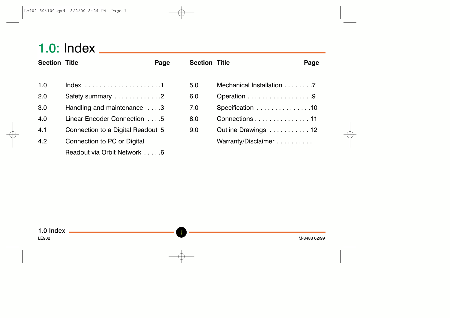# 

| <b>Section Title</b> |                                   | Page | <b>Section Title</b> |                           | Page |
|----------------------|-----------------------------------|------|----------------------|---------------------------|------|
|                      |                                   |      |                      |                           |      |
| 1.0                  |                                   |      | 5.0                  | Mechanical Installation 7 |      |
| 2.0                  | Safety summary 2                  |      | 6.0                  | Operation 9               |      |
| 3.0                  | Handling and maintenance 3        |      | 7.0                  | Specification 10          |      |
| 4.0                  | Linear Encoder Connection 5       |      | 8.0                  | Connections 11            |      |
| 4.1                  | Connection to a Digital Readout 5 |      | 9.0                  | Outline Drawings  12      |      |
| 4.2                  | Connection to PC or Digital       |      |                      | Warranty/Disclaimer       |      |
|                      | Readout via Orbit Network 6       |      |                      |                           |      |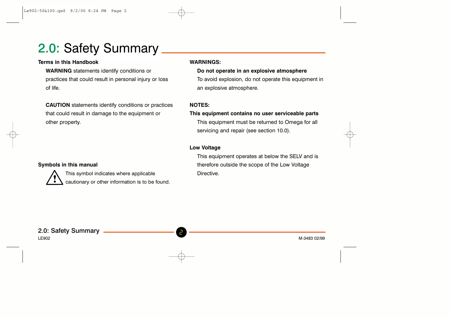# 2.0: Safety Summary

## **Terms in this Handbook**

**WARNING** statements identify conditions or practices that could result in personal injury or loss of life.

**CAUTION** statements identify conditions or practices that could result in damage to the equipment or other property.

### Symbols in this manual



This symbol indicates where applicable cautionary or other information is to be found.

### **WARNINGS:**

### Do not operate in an explosive atmosphere

To avoid explosion, do not operate this equipment in an explosive atmosphere.

### NOTES-

## This equipment contains no user serviceable parts This equipment must be returned to Omega for all

servicing and repair (see section 10.0).

## **Low Voltage**

This equipment operates at below the SELV and is therefore outside the scope of the Low Voltage Directive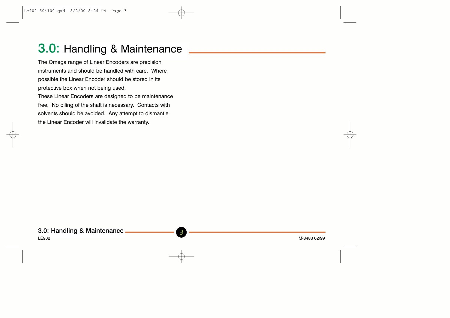# 3.0: Handling & Maintenance

The Omega range of Linear Encoders are precision nstruments and should be handled with care. Where possible the Linear Encoder should be stored in its protective box when not being used.

These Linear Encoders are designed to be maintenance free. No oiling of the shaft is necessary. Contacts with solvents should be avoided. Any attempt to dismantle the Linear Encoder will invalidate the warranty.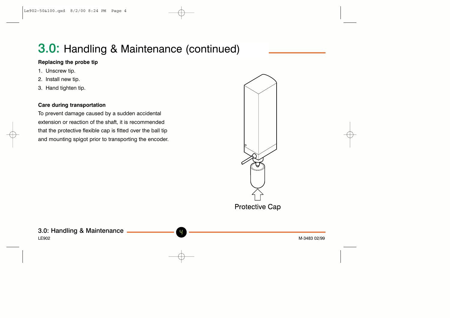# 3.0: Handling & Maintenance (continued)

## Replacing the probe tip

- 1. Unscrew tip.
- 2. Install new tip.
- 3. Hand tighten tip.

## **Care during transportation**

To prevent damage caused by a sudden accidental extension or reaction of the shaft, it is recommended that the protective flexible cap is fitted over the ball tip and mounting spigot prior to transporting the encoder.



## 3.0: Handling & Maintenance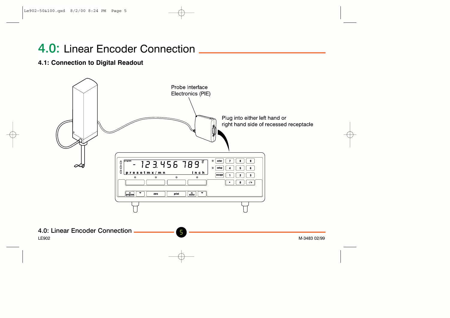# 4.0: Linear Encoder Connection

## 4.1: Connection to Digital Readout



**LE902** 

5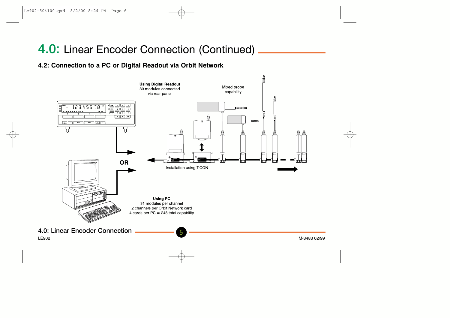# 4.0: Linear Encoder Connection (Continued)

## 4.2: Connection to a PC or Digital Readout via Orbit Network



6

4.0: Linear Encoder Connection

**LE902**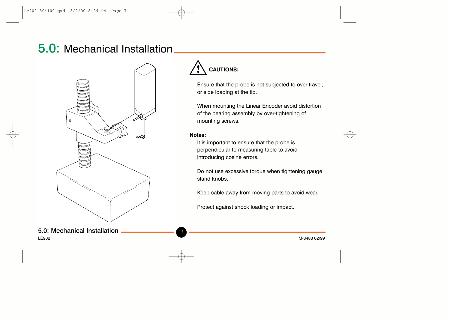# 5.0: Mechanical Installation





Ensure that the probe is not subjected to over-travel, or side loading at the tip.

When mounting the Linear Encoder avoid distortion of the bearing assembly by over-tightening of mounting screws.

### Notes:

It is important to ensure that the probe is perpendicular to measuring table to avoid introducing cosine errors.

Do not use excessive torque when tightening gauge stand knobs.

Keep cable away from moving parts to avoid wear.

Protect against shock loading or impact.

## 5.0: Mechanical Installation

I F902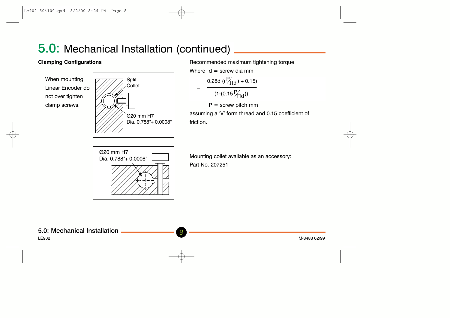# 5.0: Mechanical Installation (continued)

## **Clamping Configurations**

When mounting Linear Encoder do not over tighten clamp screws.



Recommended maximum tightening torque

Where  $d =$  screw dia mm

$$
= \frac{0.28d ((P'fid) + 0.15)}{(1-(0.15 P'fid))}
$$

 $P =$  screw pitch mm

assuming a 'V' form thread and 0.15 coefficient of friction



Mounting collet available as an accessory: Part No. 207251

I F902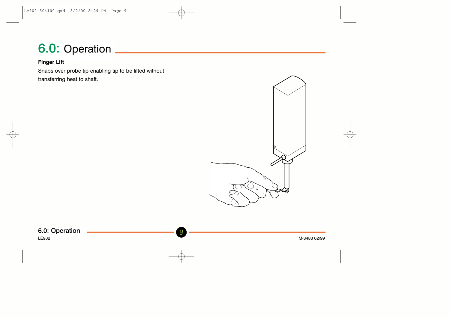# 6.0: Operation \_\_\_\_\_\_\_\_\_\_\_\_\_

## **Finger Lift**

Snaps over probe tip enabling tip to be lifted without transferring heat to shaft.



6.0: Operation **LE902**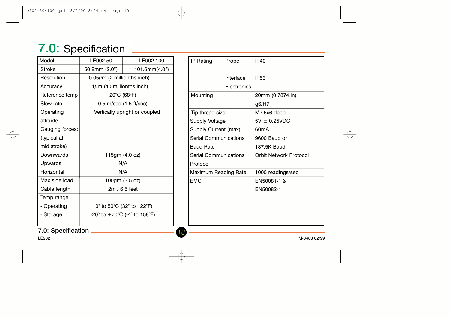# 7.0: Specification

| Model           | LE902-50                         | LE902-100                                                              |
|-----------------|----------------------------------|------------------------------------------------------------------------|
| Stroke          | 50.8mm (2.0")                    | 101.6mm(4.0")                                                          |
| Resolution      | $0.05 \mu m$ (2 millionths inch) |                                                                        |
| Accuracy        | $\pm$ 1µm (40 millionths inch)   |                                                                        |
| Reference temp  | $20^{\circ}$ C (68 $^{\circ}$ F) |                                                                        |
| Slew rate       | $0.5$ m/sec $(1.5$ ft/sec)       |                                                                        |
| Operating       |                                  | Vertically upright or coupled                                          |
| attitude        |                                  |                                                                        |
| Gauging forces: |                                  |                                                                        |
| (typical at     |                                  |                                                                        |
| mid stroke)     |                                  |                                                                        |
| Downwards       |                                  | 115gm (4.0 oz)                                                         |
| Upwards         |                                  | N/A                                                                    |
| Horizontal      |                                  | N/A                                                                    |
| Max side load   |                                  | 100gm (3.5 oz)                                                         |
| Cable length    |                                  | $2m/6.5$ feet                                                          |
| Temp range      |                                  |                                                                        |
| - Operating     |                                  | 0° to 50°C (32° to 122°F)                                              |
| - Storage       |                                  | -20 $^{\circ}$ to +70 $^{\circ}$ C (-4 $^{\circ}$ to 158 $^{\circ}$ F) |
|                 |                                  |                                                                        |

| IP Rating             | Probe                    | <b>IP40</b>            |  |
|-----------------------|--------------------------|------------------------|--|
|                       | Interface<br>Electronics | IP <sub>53</sub>       |  |
| Mounting              |                          | 20mm (0.7874 in)       |  |
|                       |                          | g6/H7                  |  |
| Tip thread size       |                          | M2.5x6 deep            |  |
| <b>Supply Voltage</b> |                          | $5V \pm 0.25VDC$       |  |
| Supply Current (max)  |                          | 60mA                   |  |
| Serial Communications |                          | 9600 Baud or           |  |
| <b>Baud Rate</b>      |                          | 187.5K Baud            |  |
| Serial Communications |                          | Orbit Network Protocol |  |
| Protocol              |                          |                        |  |
| Maximum Reading Rate  |                          | 1000 readings/sec      |  |
| <b>EMC</b>            |                          | EN50081-1 &            |  |
|                       |                          | EN50082-1              |  |
|                       |                          |                        |  |
|                       |                          |                        |  |
|                       |                          |                        |  |
|                       |                          |                        |  |

10

## 7.0: Specification -

LE902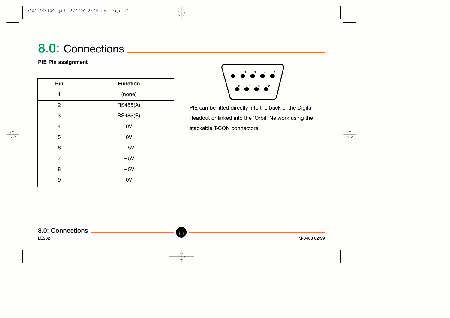# 8.0: Connections \_

### **PIE Pin assignment**

| Pin            | <b>Function</b> |
|----------------|-----------------|
| 1              | (none)          |
| $\mathbf{2}$   | <b>RS485(A)</b> |
| 3              | <b>RS485(B)</b> |
| 4              | 0V              |
| 5              | 0V              |
| 6              | $+5V$           |
| $\overline{7}$ | $+5V$           |
| 8              | $+5V$           |
| 9              | 0V              |



PIE can be fitted directly into the back of the Digital Readout or linked into the 'Orbit' Network using the stackable T-CON connectors.

**LE902**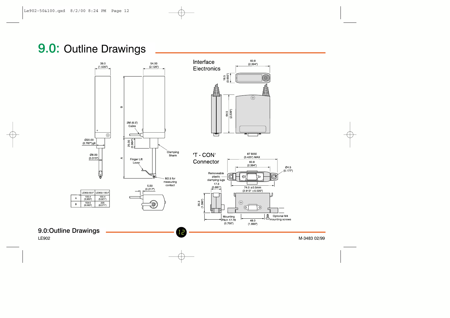# 9.0: Outline Drawings



**LE902** 

M-3483 02/99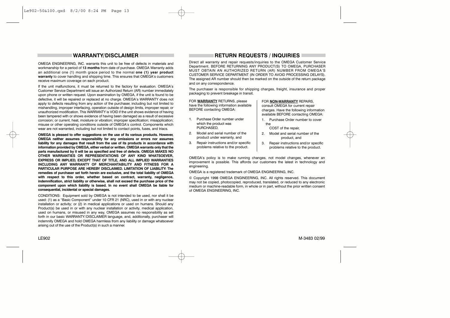### **WARRANTY/DISCLAIMER**

OMEGA ENGINEERING. INC. warrants this unit to be free of defects in materials and workmanship for a period of 13 months from date of purchase. OMEGA Warranty adds an additional one (1) month grace period to the normal one (1) year product warranty to cover handling and shipping time. This ensures that OMEGA's customers receive maximum coverage on each product.

If the unit malfunctions, it must be returned to the factory for evaluation. OMEGA's Customer Service Department will issue an Authorized Return (AR) number immediately upon phone or written request. Upon examination by OMEGA, if the unit is found to be defective, it will be repaired or replaced at no charge. OMEGA's WARRANTY does not apply to defects resulting from any action of the purchaser including but not limited to mishandling, improper interfacing, operation outside of design limits, improper repair, or unauthorized modification. This WARRANTY is VOID if the unit shows evidence of having been tampered with or shows evidence of having been damaged as a result of excessive corrosion: or current, heat, moisture or vibration: improper specification: misapplication: misuse or other operating conditions outside of OMEGA's control. Components which wear are not warranted, including but not limited to contact points, fuses, and triacs.

OMEGA is pleased to offer suggestions on the use of its various products. However, OMEGA neither assumes responsibility for any omissions or errors nor assumes liability for any damages that result from the use of its products in accordance with information provided by OMEGA, either verbal or written, OMEGA warrants only that the parts manufactured by it will be as specified and free of defects. OMEGA MAKES NO OTHER WARRANTIES OR REPRESENTATIONS OF ANY KIND WHATSOEVER. EXPRESS OR IMPLIED. EXCEPT THAT OF TITLE, AND ALL IMPLIED WARRANTIES INCLUDING ANY WARRANTY OF MERCHANTARILITY AND FITNESS FOR A PARTICULAR PURPOSE ARE HEREBY DISCLAIMED. LIMITATION OF LIABILITY: The remedies of purchaser set forth herein are exclusive, and the total liability of OMEGA with respect to this order, whether based on contract, warranty, negligence, indemnification, strict liability or otherwise, shall not exceed the purchase price of the component upon which liability is based. In no event shall OMEGA be liable for consequential, incidental or special damages.

CONDITIONS: Equipment sold by OMEGA is not intended to be used, nor shall it be used: (1) as a "Basic Component" under 10 CFR 21 (NRC), used in or with any nuclear installation or activity; or (2) in medical applications or used on humans. Should any Product(s) be used in or with any nuclear installation or activity, medical application. used on humans, or misused in any way. OMEGA assumes no responsibility as set forth in our basic WARRANTY/DISCLAIMER language, and, additionally, purchaser will indemnify OMEGA and hold OMEGA harmless from any liability or damage whatsoever arising out of the use of the Product(s) in such a manner.

### **RETURN REQUESTS / INQUIRIES**

Direct all warranty and repair requests/inquiries to the OMEGA Customer Service Department BEFORE BETURNING ANY PRODUCT(S) TO OMEGA PURCHASER MUST OBTAIN AN AUTHORIZED RETURN (AR) NUMBER FROM OMEGA'S CUSTOMER SERVICE DEPARTMENT (IN ORDER TO AVOID PROCESSING DELAYS). The assigned AR number should then be marked on the outside of the return package and on any correspondence.

The purchaser is responsible for shipping charges freight insurance and proper packaging to prevent breakage in transit.

FOR WARRANTY RETURNS, please have the following information available **BEFORE** contacting OMEGA:

- 1 Purchase Order number under which the product was **PURCHASED**
- 2. Model and serial number of the product under warranty, and
- 3. Repair instructions and/or specific problems relative to the product.

#### FOR NON-WARRANTY REPAIRS.

consult OMEGA for current repair charges. Have the following information available BEFORE contacting OMEGA:

- 1. Purchase Order number to cover the
	- COST of the repair.
- 2. Model and serial number of the product, and
- $\mathbf{R}$ Repair instructions and/or specific problems relative to the product.

OMEGA's policy is to make running changes, not model changes, whenever an improvement is possible. This affords our customers the latest in technology and engineering.

OMEGA is a registered trademark of OMEGA ENGINEERING. INC.

© Copyright 1998 OMEGA ENGINEERING, INC. All rights reserved. This document may not be copied, photocopied, reproduced, translated, or reduced to any electronic medium or machine-readable form, in whole or in part, without the prior written consent of OMEGA ENGINEERING. INC.